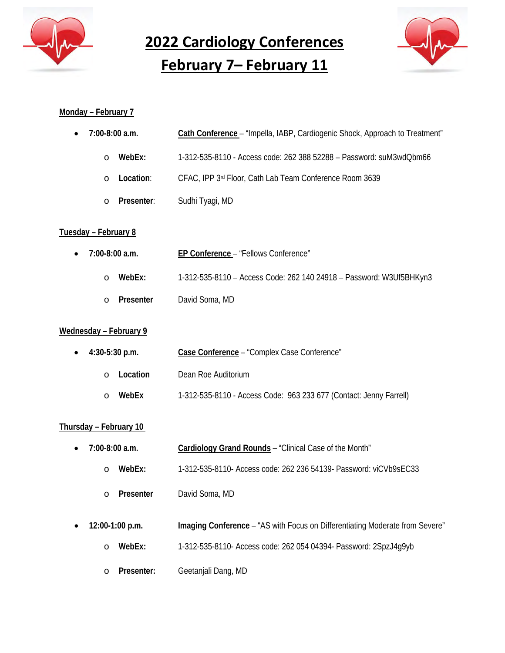

**2022 Cardiology Conferences**

**February 7– February 11**



# **Monday – February 7**

| $\bullet$ | 7:00-8:00 a.m.        | Cath Conference - "Impella, IABP, Cardiogenic Shock, Approach to Treatment" |
|-----------|-----------------------|-----------------------------------------------------------------------------|
|           | WebEx:<br>∩           | 1-312-535-8110 - Access code: 262 388 52288 - Password: suM3wdQbm66         |
|           | Location:<br>$\Omega$ | CFAC, IPP 3rd Floor, Cath Lab Team Conference Room 3639                     |
|           | Presenter:<br>∩       | Sudhi Tyagi, MD                                                             |
|           |                       |                                                                             |

## **Tuesday – February 8**

| $\bullet$ 7:00-8:00 a.m. | EP Conference - "Fellows Conference"                                |
|--------------------------|---------------------------------------------------------------------|
| WebEx:<br>$\Omega$       | 1-312-535-8110 - Access Code: 262 140 24918 - Password: W3Uf5BHKyn3 |
| Presenter<br>$\cap$      | David Soma, MD                                                      |

# **Wednesday – February 9**

| • $4:30-5:30$ p.m. | Case Conference - "Complex Case Conference"                        |
|--------------------|--------------------------------------------------------------------|
| Location<br>$\cap$ | Dean Roe Auditorium                                                |
| WebEx              | 1-312-535-8110 - Access Code: 963 233 677 (Contact: Jenny Farrell) |

# **Thursday – February 10**

- **7:00-8:00 a.m. Cardiology Grand Rounds** "Clinical Case of the Month"
	- o **WebEx:** 1-312-535-8110- Access code: 262 236 54139- Password: viCVb9sEC33
	- o **Presenter** David Soma, MD
- **12:00-1:00 p.m. Imaging Conference** "AS with Focus on Differentiating Moderate from Severe"
	- o **WebEx:** 1-312-535-8110- Access code: 262 054 04394- Password: 2SpzJ4g9yb
	- o **Presenter:** Geetanjali Dang, MD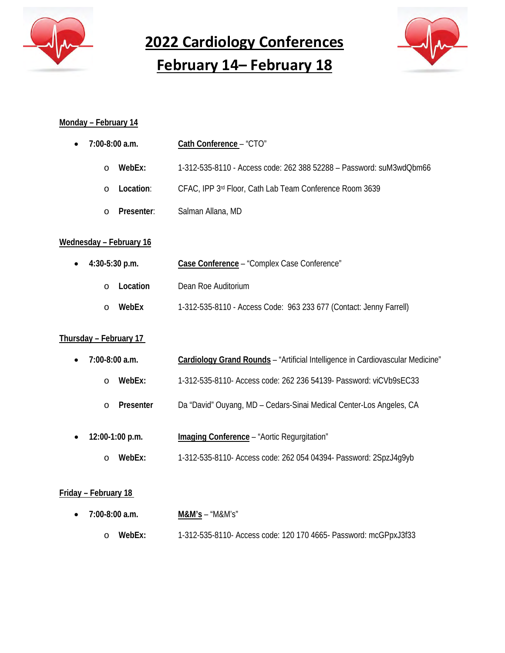

**2022 Cardiology Conferences February 14– February 18**

# **Monday – February 14**

| $\bullet$ 7:00-8:00 a.m. | Cath Conference - "CTO"                                             |
|--------------------------|---------------------------------------------------------------------|
| WebEx:<br>$\Omega$       | 1-312-535-8110 - Access code: 262 388 52288 - Password: suM3wdQbm66 |
| Location:<br>$\Omega$    | CFAC, IPP 3rd Floor, Cath Lab Team Conference Room 3639             |
| Presenter:<br>$\cap$     | Salman Allana, MD                                                   |

## **Wednesday – February 16**

| $\bullet$ 4:30-5:30 p.m. | Case Conference - "Complex Case Conference"                        |
|--------------------------|--------------------------------------------------------------------|
| Location<br>$\cap$       | Dean Roe Auditorium                                                |
| WebEx<br>$\cap$          | 1-312-535-8110 - Access Code: 963 233 677 (Contact: Jenny Farrell) |

#### **Thursday – February 17**

|  | $7:00-8:00$ a.m. | Cardiology Grand Rounds - "Artificial Intelligence in Cardiovascular Medicine" |  |  |
|--|------------------|--------------------------------------------------------------------------------|--|--|
|--|------------------|--------------------------------------------------------------------------------|--|--|

- o **WebEx:** 1-312-535-8110- Access code: 262 236 54139- Password: viCVb9sEC33
- o **Presenter** Da "David" Ouyang, MD Cedars-Sinai Medical Center-Los Angeles, CA
- **12:00-1:00 p.m. Imaging Conference** "Aortic Regurgitation" o **WebEx:** 1-312-535-8110- Access code: 262 054 04394- Password: 2SpzJ4g9yb

#### **Friday – February 18**

| $\bullet$ 7:00-8:00 a.m. | $M&M's - "M&M's"$                                                |
|--------------------------|------------------------------------------------------------------|
| o WebEx:                 | 1-312-535-8110- Access code: 120 170 4665- Password: mcGPpxJ3f33 |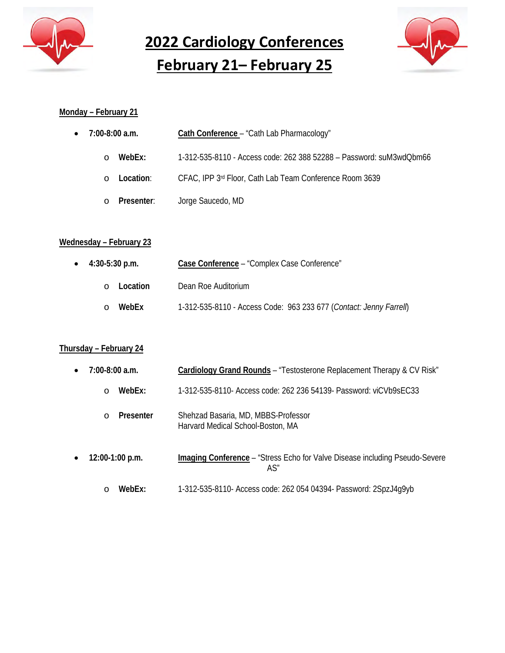

**2022 Cardiology Conferences**

**February 21– February 25**



# **Monday – February 21**

| $\bullet$ 7:00-8:00 a.m. | Cath Conference - "Cath Lab Pharmacology"                           |
|--------------------------|---------------------------------------------------------------------|
| WebEx:<br>$\Omega$       | 1-312-535-8110 - Access code: 262 388 52288 - Password: suM3wdQbm66 |
| Location:<br>$\Omega$    | CFAC, IPP 3rd Floor, Cath Lab Team Conference Room 3639             |
| Presenter:<br>$\Omega$   | Jorge Saucedo, MD                                                   |

# **Wednesday – February 23**

| $\bullet$ 4:30-5:30 p.m. | Case Conference - "Complex Case Conference"                        |
|--------------------------|--------------------------------------------------------------------|
| Location<br>$\cap$       | Dean Roe Auditorium                                                |
| WebEx<br>$\cap$          | 1-312-535-8110 - Access Code: 963 233 677 (Contact: Jenny Farrell) |

# **Thursday – February 24**

| $\bullet$ | $7:00-8:00$ a.m.  | Cardiology Grand Rounds – "Testosterone Replacement Therapy & CV Risk"             |  |
|-----------|-------------------|------------------------------------------------------------------------------------|--|
|           | WebEx:<br>$\circ$ | 1-312-535-8110- Access code: 262 236 54139- Password: viCVb9sEC33                  |  |
|           | Presenter<br>∩    | Shehzad Basaria, MD, MBBS-Professor<br>Harvard Medical School-Boston, MA           |  |
| $\bullet$ | $12:00-1:00$ p.m. | Imaging Conference - "Stress Echo for Valve Disease including Pseudo-Severe<br>AS" |  |

o **WebEx:** 1-312-535-8110- Access code: 262 054 04394- Password: 2SpzJ4g9yb